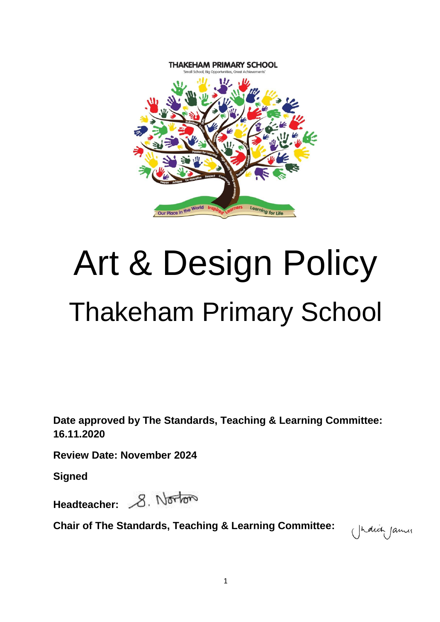

# Art & Design Policy Thakeham Primary School

**Date approved by The Standards, Teaching & Learning Committee: 16.11.2020**

**Review Date: November 2024**

**Signed**

Headteacher: 8. Norton

**Chair of The Standards, Teaching & Learning Committee:** 

(Judich James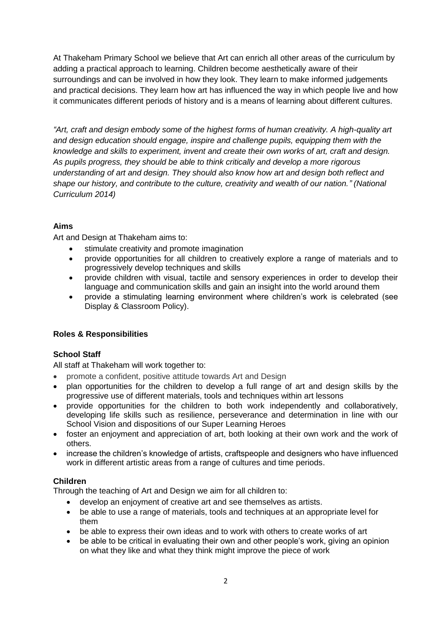At Thakeham Primary School we believe that Art can enrich all other areas of the curriculum by adding a practical approach to learning. Children become aesthetically aware of their surroundings and can be involved in how they look. They learn to make informed judgements and practical decisions. They learn how art has influenced the way in which people live and how it communicates different periods of history and is a means of learning about different cultures.

*"Art, craft and design embody some of the highest forms of human creativity. A high-quality art and design education should engage, inspire and challenge pupils, equipping them with the knowledge and skills to experiment, invent and create their own works of art, craft and design. As pupils progress, they should be able to think critically and develop a more rigorous understanding of art and design. They should also know how art and design both reflect and shape our history, and contribute to the culture, creativity and wealth of our nation." (National Curriculum 2014)*

# **Aims**

Art and Design at Thakeham aims to:

- stimulate creativity and promote imagination
- provide opportunities for all children to creatively explore a range of materials and to progressively develop techniques and skills
- provide children with visual, tactile and sensory experiences in order to develop their language and communication skills and gain an insight into the world around them
- provide a stimulating learning environment where children's work is celebrated (see Display & Classroom Policy).

# **Roles & Responsibilities**

### **School Staff**

All staff at Thakeham will work together to:

- promote a confident, positive attitude towards Art and Design
- plan opportunities for the children to develop a full range of art and design skills by the progressive use of different materials, tools and techniques within art lessons
- provide opportunities for the children to both work independently and collaboratively, developing life skills such as resilience, perseverance and determination in line with our School Vision and dispositions of our Super Learning Heroes
- foster an enjoyment and appreciation of art, both looking at their own work and the work of others.
- increase the children's knowledge of artists, craftspeople and designers who have influenced work in different artistic areas from a range of cultures and time periods.

### **Children**

Through the teaching of Art and Design we aim for all children to:

- develop an enjoyment of creative art and see themselves as artists.
- be able to use a range of materials, tools and techniques at an appropriate level for them
- be able to express their own ideas and to work with others to create works of art
- be able to be critical in evaluating their own and other people's work, giving an opinion on what they like and what they think might improve the piece of work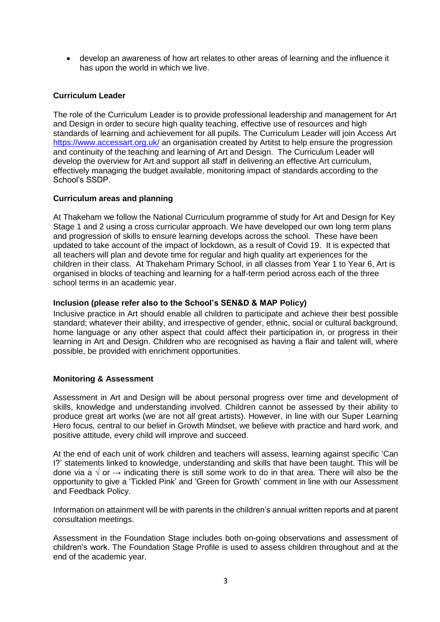develop an awareness of how art relates to other areas of learning and the influence it has upon the world in which we live.

## **Curriculum Leader**

The role of the Curriculum Leader is to provide professional leadership and management for Art and Design in order to secure high quality teaching, effective use of resources and high standards of learning and achievement for all pupils. The Curriculum Leader will join Access Art <https://www.accessart.org.uk/> an organisation created by Artitst to help ensure the progression and continuity of the teaching and learning of Art and Design. The Curriculum Leader will develop the overview for Art and support all staff in delivering an effective Art curriculum, effectively managing the budget available, monitoring impact of standards according to the School's SSDP.

### **Curriculum areas and planning**

At Thakeham we follow the National Curriculum programme of study for Art and Design for Key Stage 1 and 2 using a cross curricular approach. We have developed our own long term plans and progression of skills to ensure learning develops across the school. These have been updated to take account of the impact of lockdown, as a result of Covid 19. It is expected that all teachers will plan and devote time for regular and high quality art experiences for the children in their class. At Thakeham Primary School, in all classes from Year 1 to Year 6, Art is organised in blocks of teaching and learning for a half-term period across each of the three school terms in an academic year.

### **Inclusion (please refer also to the School's SEN&D & MAP Policy)**

Inclusive practice in Art should enable all children to participate and achieve their best possible standard; whatever their ability, and irrespective of gender, ethnic, social or cultural background, home language or any other aspect that could affect their participation in, or progress in their learning in Art and Design. Children who are recognised as having a flair and talent will, where possible, be provided with enrichment opportunities.

### **Monitoring & Assessment**

Assessment in Art and Design will be about personal progress over time and development of skills, knowledge and understanding involved. Children cannot be assessed by their ability to produce great art works (we are not all great artists). However, in line with our Super Learning Hero focus, central to our belief in Growth Mindset, we believe with practice and hard work, and positive attitude, every child will improve and succeed.

At the end of each unit of work children and teachers will assess, learning against specific 'Can I?' statements linked to knowledge, understanding and skills that have been taught. This will be done via a  $\sqrt{$  or  $\rightarrow$  indicating there is still some work to do in that area. There will also be the opportunity to give a 'Tickled Pink' and 'Green for Growth' comment in line with our Assessment and Feedback Policy.

Information on attainment will be with parents in the children's annual written reports and at parent consultation meetings.

Assessment in the Foundation Stage includes both on-going observations and assessment of children's work. The Foundation Stage Profile is used to assess children throughout and at the end of the academic year.